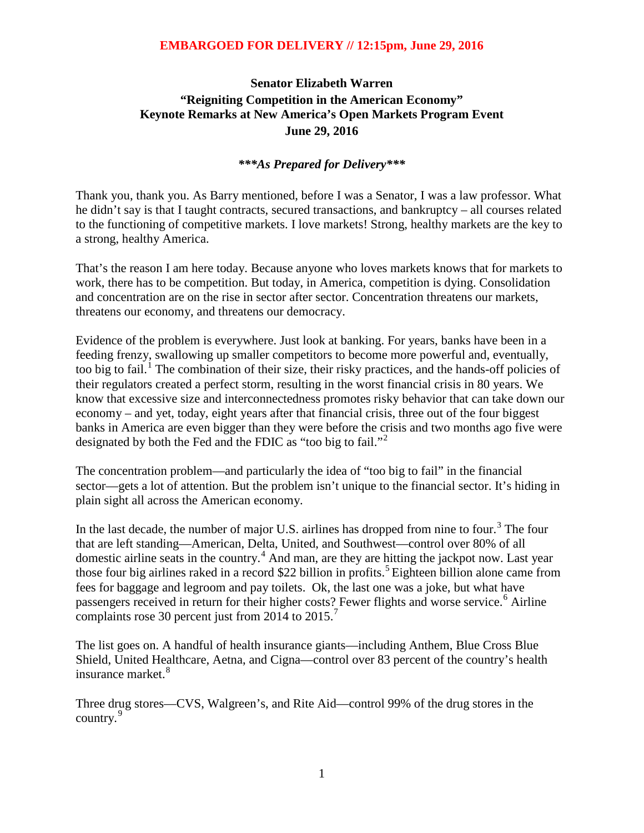# **Senator Elizabeth Warren "Reigniting Competition in the American Economy" Keynote Remarks at New America's Open Markets Program Event June 29, 2016**

#### *\*\*\*As Prepared for Delivery\*\*\**

Thank you, thank you. As Barry mentioned, before I was a Senator, I was a law professor. What he didn't say is that I taught contracts, secured transactions, and bankruptcy – all courses related to the functioning of competitive markets. I love markets! Strong, healthy markets are the key to a strong, healthy America.

That's the reason I am here today. Because anyone who loves markets knows that for markets to work, there has to be competition. But today, in America, competition is dying. Consolidation and concentration are on the rise in sector after sector. Concentration threatens our markets, threatens our economy, and threatens our democracy.

Evidence of the problem is everywhere. Just look at banking. For years, banks have been in a feeding frenzy, swallowing up smaller competitors to become more powerful and, eventually, too big to fail.<sup>[1](#page-7-0)</sup> The combination of their size, their risky practices, and the hands-off policies of their regulators created a perfect storm, resulting in the worst financial crisis in 80 years. We know that excessive size and interconnectedness promotes risky behavior that can take down our economy – and yet, today, eight years after that financial crisis, three out of the four biggest banks in America are even bigger than they were before the crisis and two months ago five were designated by both the Fed and the FDIC as "too big to fail."<sup>[2](#page-7-1)</sup>

The concentration problem—and particularly the idea of "too big to fail" in the financial sector—gets a lot of attention. But the problem isn't unique to the financial sector. It's hiding in plain sight all across the American economy.

In the last decade, the number of major U.S. airlines has dropped from nine to four.<sup>[3](#page-7-2)</sup> The four that are left standing—American, Delta, United, and Southwest—control over 80% of all domestic airline seats in the country.<sup>[4](#page-7-3)</sup> And man, are they are hitting the jackpot now. Last year those four big airlines raked in a record \$22 billion in profits. [5](#page-7-4) Eighteen billion alone came from fees for baggage and legroom and pay toilets. Ok, the last one was a joke, but what have passengers received in return for their higher costs? Fewer flights and worse service. [6](#page-7-5) Airline complaints rose 30 percent just from 2014 to 2015.<sup>[7](#page-7-6)</sup>

The list goes on. A handful of health insurance giants—including Anthem, Blue Cross Blue Shield, United Healthcare, Aetna, and Cigna—control over 83 percent of the country's health insurance market. [8](#page-7-7)

Three drug stores—CVS, Walgreen's, and Rite Aid—control 99% of the drug stores in the country.<sup>[9](#page-7-8)</sup>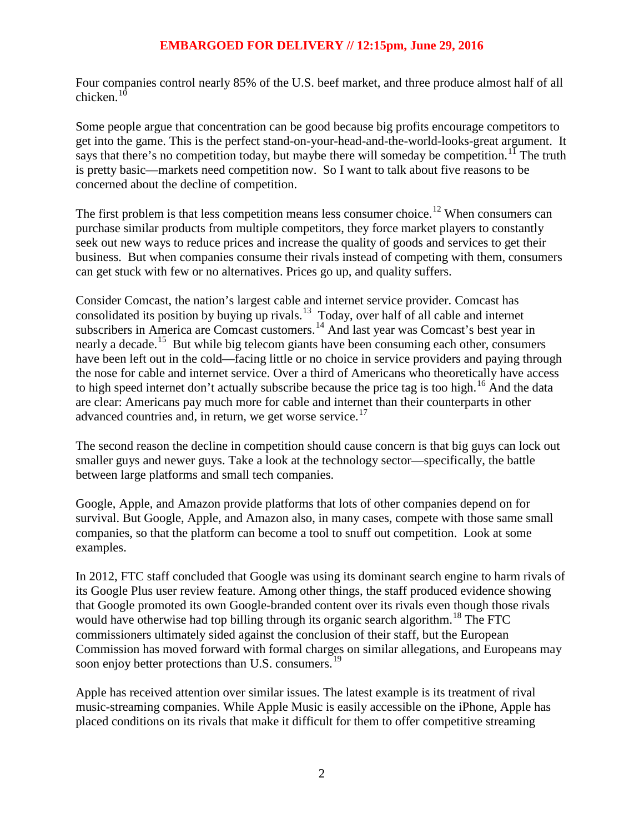Four companies control nearly 85% of the U.S. beef market, and three produce almost half of all chicken. $10$ 

Some people argue that concentration can be good because big profits encourage competitors to get into the game. This is the perfect stand-on-your-head-and-the-world-looks-great argument. It says that there's no competition today, but maybe there will someday be competition.<sup>[11](#page-8-1)</sup> The truth is pretty basic—markets need competition now. So I want to talk about five reasons to be concerned about the decline of competition.

The first problem is that less competition means less consumer choice.<sup>[12](#page-8-2)</sup> When consumers can purchase similar products from multiple competitors, they force market players to constantly seek out new ways to reduce prices and increase the quality of goods and services to get their business. But when companies consume their rivals instead of competing with them, consumers can get stuck with few or no alternatives. Prices go up, and quality suffers.

Consider Comcast, the nation's largest cable and internet service provider. Comcast has consolidated its position by buying up rivals.<sup>[13](#page-8-3)</sup> Today, over half of all cable and internet subscribers in America are Comcast customers.<sup>[14](#page-8-4)</sup> And last year was Comcast's best year in nearly a decade.<sup>[15](#page-8-5)</sup> But while big telecom giants have been consuming each other, consumers have been left out in the cold—facing little or no choice in service providers and paying through the nose for cable and internet service. Over a third of Americans who theoretically have access to high speed internet don't actually subscribe because the price tag is too high.<sup>[16](#page-8-6)</sup> And the data are clear: Americans pay much more for cable and internet than their counterparts in other advanced countries and, in return, we get worse service.<sup>[17](#page-8-7)</sup>

The second reason the decline in competition should cause concern is that big guys can lock out smaller guys and newer guys. Take a look at the technology sector—specifically, the battle between large platforms and small tech companies.

Google, Apple, and Amazon provide platforms that lots of other companies depend on for survival. But Google, Apple, and Amazon also, in many cases, compete with those same small companies, so that the platform can become a tool to snuff out competition. Look at some examples.

In 2012, FTC staff concluded that Google was using its dominant search engine to harm rivals of its Google Plus user review feature. Among other things, the staff produced evidence showing that Google promoted its own Google-branded content over its rivals even though those rivals would have otherwise had top billing through its organic search algorithm.<sup>[18](#page-8-8)</sup> The FTC commissioners ultimately sided against the conclusion of their staff, but the European Commission has moved forward with formal charges on similar allegations, and Europeans may soon enjoy better protections than U.S. consumers.<sup>[19](#page-8-9)</sup>

Apple has received attention over similar issues. The latest example is its treatment of rival music-streaming companies. While Apple Music is easily accessible on the iPhone, Apple has placed conditions on its rivals that make it difficult for them to offer competitive streaming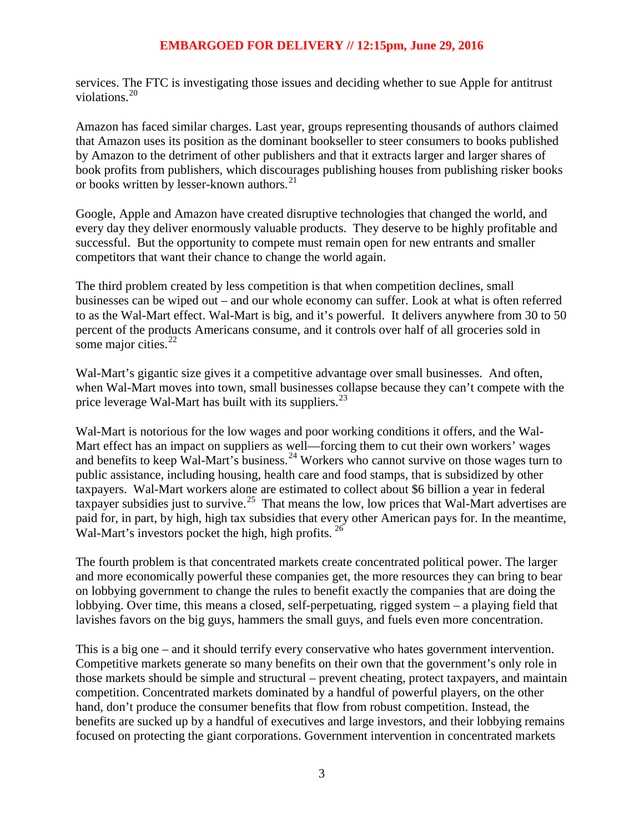services. The FTC is investigating those issues and deciding whether to sue Apple for antitrust violations.[20](#page-9-0)

Amazon has faced similar charges. Last year, groups representing thousands of authors claimed that Amazon uses its position as the dominant bookseller to steer consumers to books published by Amazon to the detriment of other publishers and that it extracts larger and larger shares of book profits from publishers, which discourages publishing houses from publishing risker books or books written by lesser-known authors.<sup>[21](#page-9-1)</sup>

Google, Apple and Amazon have created disruptive technologies that changed the world, and every day they deliver enormously valuable products. They deserve to be highly profitable and successful. But the opportunity to compete must remain open for new entrants and smaller competitors that want their chance to change the world again.

The third problem created by less competition is that when competition declines, small businesses can be wiped out – and our whole economy can suffer. Look at what is often referred to as the Wal-Mart effect. Wal-Mart is big, and it's powerful. It delivers anywhere from 30 to 50 percent of the products Americans consume, and it controls over half of all groceries sold in some major cities. $^{22}$  $^{22}$  $^{22}$ 

Wal-Mart's gigantic size gives it a competitive advantage over small businesses. And often, when Wal-Mart moves into town, small businesses collapse because they can't compete with the price leverage Wal-Mart has built with its suppliers.<sup>[23](#page-9-3)</sup>

Wal-Mart is notorious for the low wages and poor working conditions it offers, and the Wal-Mart effect has an impact on suppliers as well—forcing them to cut their own workers' wages and benefits to keep Wal-Mart's business.<sup>[24](#page-9-4)</sup> Workers who cannot survive on those wages turn to public assistance, including housing, health care and food stamps, that is subsidized by other taxpayers. Wal-Mart workers alone are estimated to collect about \$6 billion a year in federal taxpayer subsidies just to survive.<sup>[25](#page-9-5)</sup> That means the low, low prices that Wal-Mart advertises are paid for, in part, by high, high tax subsidies that every other American pays for. In the meantime, Wal-Mart's investors pocket the high, high profits. <sup>[26](#page-9-6)</sup>

The fourth problem is that concentrated markets create concentrated political power. The larger and more economically powerful these companies get, the more resources they can bring to bear on lobbying government to change the rules to benefit exactly the companies that are doing the lobbying. Over time, this means a closed, self-perpetuating, rigged system – a playing field that lavishes favors on the big guys, hammers the small guys, and fuels even more concentration.

This is a big one – and it should terrify every conservative who hates government intervention. Competitive markets generate so many benefits on their own that the government's only role in those markets should be simple and structural – prevent cheating, protect taxpayers, and maintain competition. Concentrated markets dominated by a handful of powerful players, on the other hand, don't produce the consumer benefits that flow from robust competition. Instead, the benefits are sucked up by a handful of executives and large investors, and their lobbying remains focused on protecting the giant corporations. Government intervention in concentrated markets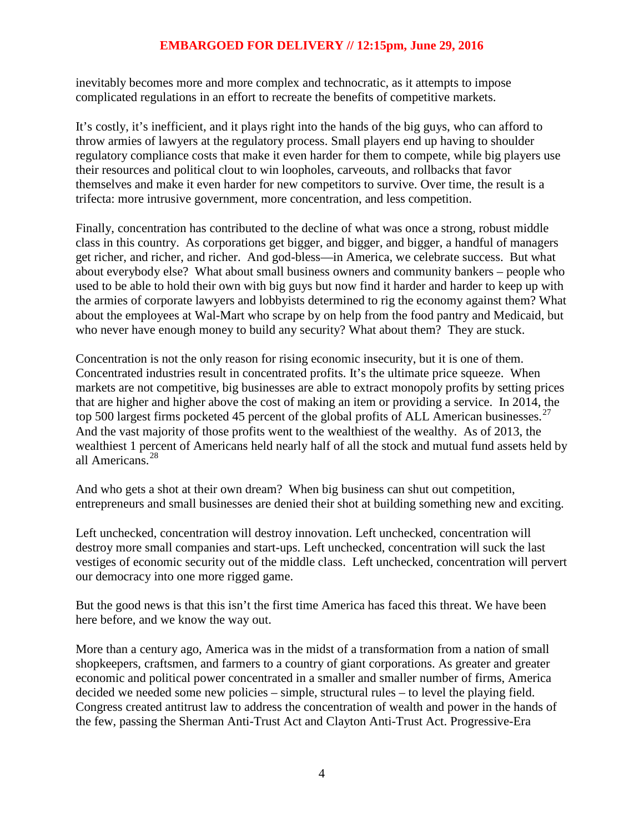inevitably becomes more and more complex and technocratic, as it attempts to impose complicated regulations in an effort to recreate the benefits of competitive markets.

It's costly, it's inefficient, and it plays right into the hands of the big guys, who can afford to throw armies of lawyers at the regulatory process. Small players end up having to shoulder regulatory compliance costs that make it even harder for them to compete, while big players use their resources and political clout to win loopholes, carveouts, and rollbacks that favor themselves and make it even harder for new competitors to survive. Over time, the result is a trifecta: more intrusive government, more concentration, and less competition.

Finally, concentration has contributed to the decline of what was once a strong, robust middle class in this country. As corporations get bigger, and bigger, and bigger, a handful of managers get richer, and richer, and richer. And god-bless—in America, we celebrate success. But what about everybody else? What about small business owners and community bankers – people who used to be able to hold their own with big guys but now find it harder and harder to keep up with the armies of corporate lawyers and lobbyists determined to rig the economy against them? What about the employees at Wal-Mart who scrape by on help from the food pantry and Medicaid, but who never have enough money to build any security? What about them? They are stuck.

Concentration is not the only reason for rising economic insecurity, but it is one of them. Concentrated industries result in concentrated profits. It's the ultimate price squeeze. When markets are not competitive, big businesses are able to extract monopoly profits by setting prices that are higher and higher above the cost of making an item or providing a service. In 2014, the top 500 largest firms pocketed 45 percent of the global profits of ALL American businesses.<sup>[27](#page-10-0)</sup> And the vast majority of those profits went to the wealthiest of the wealthy. As of 2013, the wealthiest 1 percent of Americans held nearly half of all the stock and mutual fund assets held by all Americans.[28](#page-10-1)

And who gets a shot at their own dream? When big business can shut out competition, entrepreneurs and small businesses are denied their shot at building something new and exciting.

Left unchecked, concentration will destroy innovation. Left unchecked, concentration will destroy more small companies and start-ups. Left unchecked, concentration will suck the last vestiges of economic security out of the middle class. Left unchecked, concentration will pervert our democracy into one more rigged game.

But the good news is that this isn't the first time America has faced this threat. We have been here before, and we know the way out.

More than a century ago, America was in the midst of a transformation from a nation of small shopkeepers, craftsmen, and farmers to a country of giant corporations. As greater and greater economic and political power concentrated in a smaller and smaller number of firms, America decided we needed some new policies – simple, structural rules – to level the playing field. Congress created antitrust law to address the concentration of wealth and power in the hands of the few, passing the Sherman Anti-Trust Act and Clayton Anti-Trust Act. Progressive-Era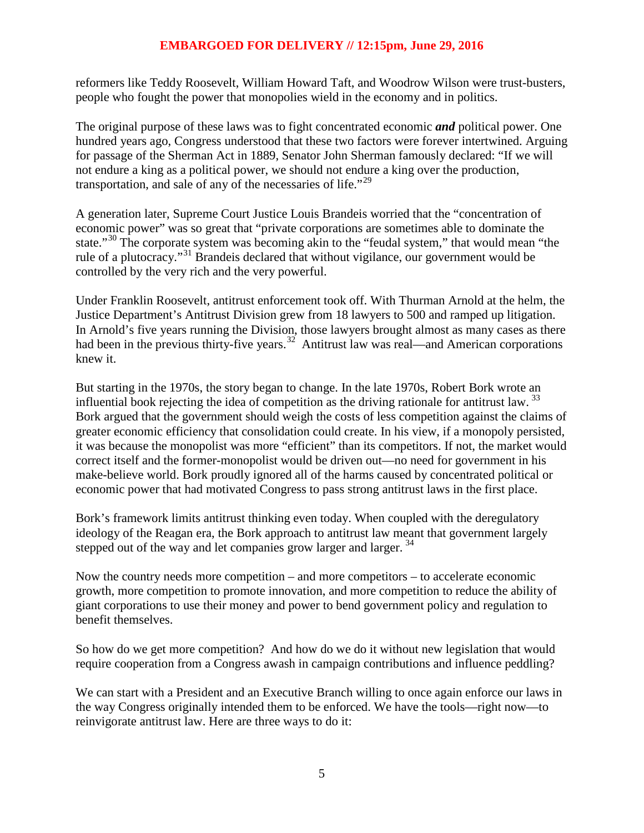reformers like Teddy Roosevelt, William Howard Taft, and Woodrow Wilson were trust-busters, people who fought the power that monopolies wield in the economy and in politics.

The original purpose of these laws was to fight concentrated economic *and* political power. One hundred years ago, Congress understood that these two factors were forever intertwined. Arguing for passage of the Sherman Act in 1889, Senator John Sherman famously declared: "If we will not endure a king as a political power, we should not endure a king over the production, transportation, and sale of any of the necessaries of life."<sup>[29](#page-10-2)</sup>

A generation later, Supreme Court Justice Louis Brandeis worried that the "concentration of economic power" was so great that "private corporations are sometimes able to dominate the state."<sup>[30](#page-10-3)</sup> The corporate system was becoming akin to the "feudal system," that would mean "the rule of a plutocracy."[31](#page-10-4) Brandeis declared that without vigilance, our government would be controlled by the very rich and the very powerful.

Under Franklin Roosevelt, antitrust enforcement took off. With Thurman Arnold at the helm, the Justice Department's Antitrust Division grew from 18 lawyers to 500 and ramped up litigation. In Arnold's five years running the Division, those lawyers brought almost as many cases as there had been in the previous thirty-five years.<sup>[32](#page-10-5)</sup> Antitrust law was real—and American corporations knew it.

But starting in the 1970s, the story began to change. In the late 1970s, Robert Bork wrote an influential book rejecting the idea of competition as the driving rationale for antitrust law.<sup>[33](#page-10-6)</sup> Bork argued that the government should weigh the costs of less competition against the claims of greater economic efficiency that consolidation could create. In his view, if a monopoly persisted, it was because the monopolist was more "efficient" than its competitors. If not, the market would correct itself and the former-monopolist would be driven out—no need for government in his make-believe world. Bork proudly ignored all of the harms caused by concentrated political or economic power that had motivated Congress to pass strong antitrust laws in the first place.

Bork's framework limits antitrust thinking even today. When coupled with the deregulatory ideology of the Reagan era, the Bork approach to antitrust law meant that government largely stepped out of the way and let companies grow larger and larger.<sup>[34](#page-10-7)</sup>

Now the country needs more competition – and more competitors – to accelerate economic growth, more competition to promote innovation, and more competition to reduce the ability of giant corporations to use their money and power to bend government policy and regulation to benefit themselves.

So how do we get more competition? And how do we do it without new legislation that would require cooperation from a Congress awash in campaign contributions and influence peddling?

We can start with a President and an Executive Branch willing to once again enforce our laws in the way Congress originally intended them to be enforced. We have the tools—right now—to reinvigorate antitrust law. Here are three ways to do it: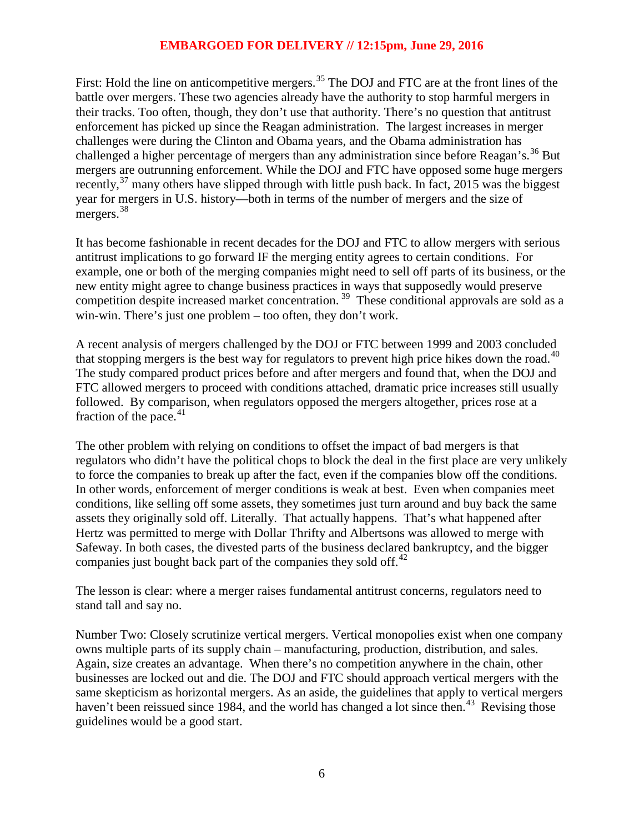First: Hold the line on anticompetitive mergers.<sup>[35](#page-10-8)</sup> The DOJ and FTC are at the front lines of the battle over mergers. These two agencies already have the authority to stop harmful mergers in their tracks. Too often, though, they don't use that authority. There's no question that antitrust enforcement has picked up since the Reagan administration. The largest increases in merger challenges were during the Clinton and Obama years, and the Obama administration has challenged a higher percentage of mergers than any administration since before Reagan's.<sup>[36](#page-10-9)</sup> But mergers are outrunning enforcement. While the DOJ and FTC have opposed some huge mergers recently,  $37$  many others have slipped through with little push back. In fact, 2015 was the biggest year for mergers in U.S. history—both in terms of the number of mergers and the size of mergers.<sup>[38](#page-10-11)</sup>

It has become fashionable in recent decades for the DOJ and FTC to allow mergers with serious antitrust implications to go forward IF the merging entity agrees to certain conditions. For example, one or both of the merging companies might need to sell off parts of its business, or the new entity might agree to change business practices in ways that supposedly would preserve competition despite increased market concentration.<sup>[39](#page-10-12)</sup> These conditional approvals are sold as a win-win. There's just one problem – too often, they don't work.

A recent analysis of mergers challenged by the DOJ or FTC between 1999 and 2003 concluded that stopping mergers is the best way for regulators to prevent high price hikes down the road.<sup>[40](#page-10-13)</sup> The study compared product prices before and after mergers and found that, when the DOJ and FTC allowed mergers to proceed with conditions attached, dramatic price increases still usually followed. By compar[iso](http://www.politico.com/agenda/story/2016/04/ftc-antitrust-economy-monopolies-000090)n, when regulators opposed the mergers altogether, prices rose at a fraction of the pace. $41$ 

The other problem with relying on conditions to offset the impact of bad mergers is that regulators who didn't have the political chops to block the deal in the first place are very unlikely to force the companies to break up after the fact, even if the companies blow off the conditions. In other words, enforcement of merger conditions is weak at best. Even when companies meet conditions, like selling off some assets, they sometimes just turn around and buy back the same assets they originally sold off. Literally. That actually happens. That's what happened after Hertz was permitted to merge with Dollar Thrifty and Albertsons was allowed to merge with Safeway. In both cases, the divested parts of the business declared bankruptcy, and the bigger companies just bought back part of the companies they sold off. $^{42}$  $^{42}$  $^{42}$ 

The lesson is clear: where a merger raises fundamental antitrust concerns, regulators need to stand tall and say no.

Number Two: Closely scrutinize vertical mergers. Vertical monopolies exist when one company owns multiple parts of its supply chain – manufacturing, production, distribution, and sales. Again, size creates an advantage. When there's no competition anywhere in the chain, other businesses are locked out and die. The DOJ and FTC should approach vertical mergers with the same skepticism as horizontal mergers. As an aside, the guidelines that apply to vertical mergers haven't been reissued since 1984, and the world has changed a lot since then.<sup>[43](#page-10-16)</sup> Revising those guidelines would be a good start.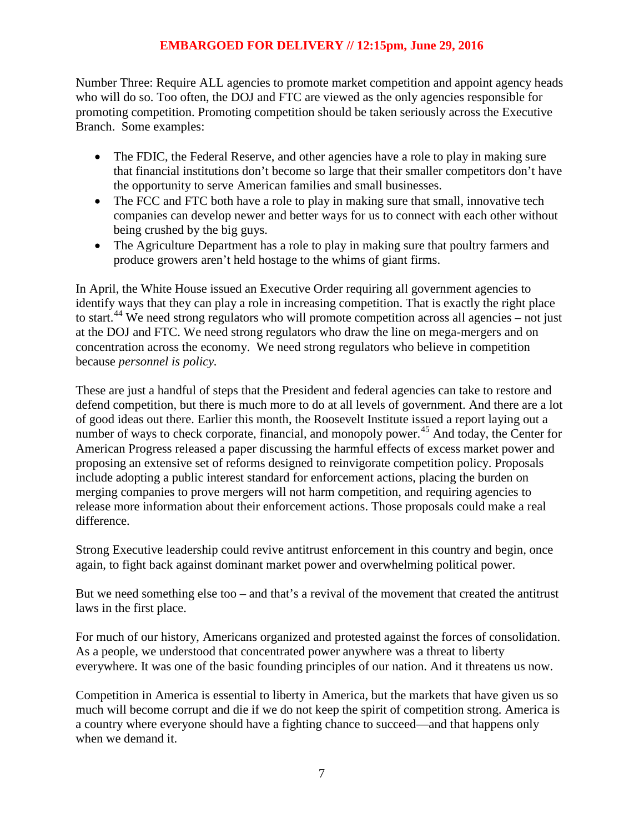Number Three: Require ALL agencies to promote market competition and appoint agency heads who will do so. Too often, the DOJ and FTC are viewed as the only agencies responsible for promoting competition. Promoting competition should be taken seriously across the Executive Branch. Some examples:

- The FDIC, the Federal Reserve, and other agencies have a role to play in making sure that financial institutions don't become so large that their smaller competitors don't have the opportunity to serve American families and small businesses.
- The FCC and FTC both have a role to play in making sure that small, innovative tech companies can develop newer and better ways for us to connect with each other without being crushed by the big guys.
- The Agriculture Department has a role to play in making sure that poultry farmers and produce growers aren't held hostage to the whims of giant firms.

In April, the White House issued an Executive Order requiring all government agencies to identify ways that they can play a role in increasing competition. That is exactly the right place to start.<sup>[44](#page-10-3)</sup> We need strong regulators who will promote competition across all agencies – not just at the DOJ and FTC. We need strong regulators who draw the line on mega-mergers and on concentration across the economy. We need strong regulators who believe in competition because *personnel is policy.*

These are just a handful of steps that the President and federal agencies can take to restore and defend competition, but there is much more to do at all levels of government. And there are a lot of good ideas out there. Earlier this month, the Roosevelt Institute issued a report laying out a number of ways to check corporate, financial, and monopoly power.<sup>[45](#page-10-17)</sup> And today, the Center for American Progress released a paper discussing the harmful effects of excess market power and proposing an extensive set of reforms designed to reinvigorate competition policy. Proposals include adopting a public interest standard for enforcement actions, placing the burden on merging companies to prove mergers will not harm competition, and requiring agencies to release more information about their enforcement actions. Those proposals could make a real difference.

Strong Executive leadership could revive antitrust enforcement in this country and begin, once again, to fight back against dominant market power and overwhelming political power.

But we need something else too – and that's a revival of the movement that created the antitrust laws in the first place.

For much of our history, Americans organized and protested against the forces of consolidation. As a people, we understood that concentrated power anywhere was a threat to liberty everywhere. It was one of the basic founding principles of our nation. And it threatens us now.

Competition in America is essential to liberty in America, but the markets that have given us so much will become corrupt and die if we do not keep the spirit of competition strong. America is a country where everyone should have a fighting chance to succeed—and that happens only when we demand it.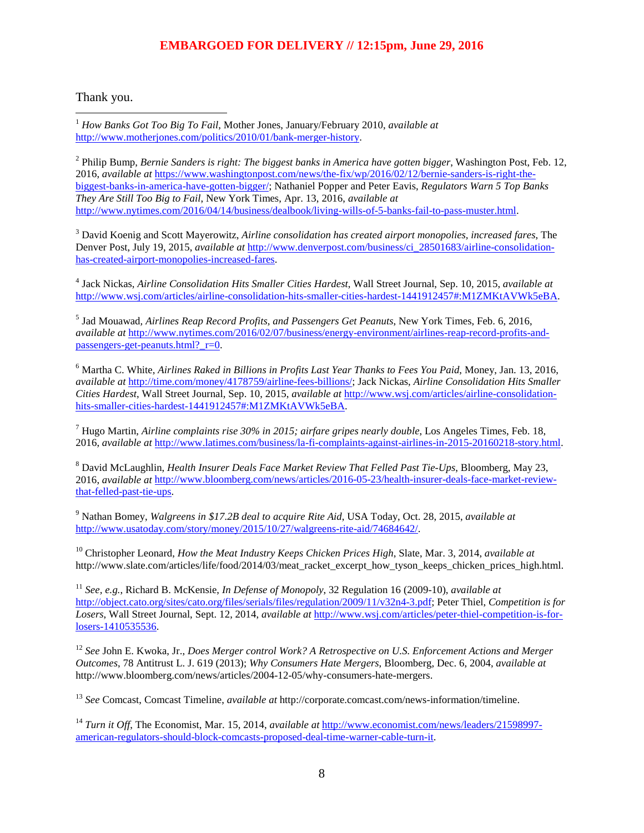Thank you.

<span id="page-7-0"></span> 1 *How Banks Got Too Big To Fail*, Mother Jones, January/February 2010, *available at* [http://www.motherjones.com/politics/2010/01/bank-merger-history.](http://www.motherjones.com/politics/2010/01/bank-merger-history)

<span id="page-7-1"></span><sup>2</sup> Philip Bump, *Bernie Sanders is right: The biggest banks in America have gotten bigger*, Washington Post, Feb. 12, 2016, *available at* [https://www.washingtonpost.com/news/the-fix/wp/2016/02/12/bernie-sanders-is-right-the](https://www.washingtonpost.com/news/the-fix/wp/2016/02/12/bernie-sanders-is-right-the-biggest-banks-in-america-have-gotten-bigger/)[biggest-banks-in-america-have-gotten-bigger/;](https://www.washingtonpost.com/news/the-fix/wp/2016/02/12/bernie-sanders-is-right-the-biggest-banks-in-america-have-gotten-bigger/) Nathaniel Popper and Peter Eavis, *Regulators Warn 5 Top Banks They Are Still Too Big to Fail*, New York Times, Apr. 13, 2016, *available at* [http://www.nytimes.com/2016/04/14/business/dealbook/living-wills-of-5-banks-fail-to-pass-muster.html.](http://www.nytimes.com/2016/04/14/business/dealbook/living-wills-of-5-banks-fail-to-pass-muster.html)

<span id="page-7-2"></span><sup>3</sup> David Koenig and Scott Mayerowitz, *Airline consolidation has created airport monopolies, increased fares*, The Denver Post, July 19, 2015, *available at* [http://www.denverpost.com/business/ci\\_28501683/airline-consolidation](http://www.denverpost.com/business/ci_28501683/airline-consolidation-has-created-airport-monopolies-increased-fares)[has-created-airport-monopolies-increased-fares.](http://www.denverpost.com/business/ci_28501683/airline-consolidation-has-created-airport-monopolies-increased-fares) 

<span id="page-7-3"></span><sup>4</sup> Jack Nickas, *Airline Consolidation Hits Smaller Cities Hardest*, Wall Street Journal, Sep. 10, 2015, *available at* [http://www.wsj.com/articles/airline-consolidation-hits-smaller-cities-hardest-1441912457#:M1ZMKtAVWk5eBA.](http://www.wsj.com/articles/airline-consolidation-hits-smaller-cities-hardest-1441912457#:M1ZMKtAVWk5eBA)

<span id="page-7-4"></span><sup>5</sup> Jad Mouawad*, Airlines Reap Record Profits, and Passengers Get Peanuts*, New York Times, Feb. 6, 2016, *available at* [http://www.nytimes.com/2016/02/07/business/energy-environment/airlines-reap-record-profits-and](http://www.nytimes.com/2016/02/07/business/energy-environment/airlines-reap-record-profits-and-passengers-get-peanuts.html?_r=0)[passengers-get-peanuts.html?\\_r=0.](http://www.nytimes.com/2016/02/07/business/energy-environment/airlines-reap-record-profits-and-passengers-get-peanuts.html?_r=0)

<span id="page-7-5"></span><sup>6</sup> Martha C. White, *Airlines Raked in Billions in Profits Last Year Thanks to Fees You Paid*, Money, Jan. 13, 2016, *available at* [http://time.com/money/4178759/airline-fees-billions/;](http://time.com/money/4178759/airline-fees-billions/) Jack Nickas, *Airline Consolidation Hits Smaller Cities Hardest*, Wall Street Journal, Sep. 10, 2015, *available at* [http://www.wsj.com/articles/airline-consolidation](http://www.wsj.com/articles/airline-consolidation-hits-smaller-cities-hardest-1441912457#:M1ZMKtAVWk5eBA)[hits-smaller-cities-hardest-1441912457#:M1ZMKtAVWk5eBA.](http://www.wsj.com/articles/airline-consolidation-hits-smaller-cities-hardest-1441912457#:M1ZMKtAVWk5eBA)

<span id="page-7-6"></span><sup>7</sup> Hugo Martin, *Airline complaints rise 30% in 2015; airfare gripes nearly double*, Los Angeles Times, Feb. 18, 2016, *available at* [http://www.latimes.com/business/la-fi-complaints-against-airlines-in-2015-20160218-story.html.](http://www.latimes.com/business/la-fi-complaints-against-airlines-in-2015-20160218-story.html) 

<span id="page-7-7"></span><sup>8</sup> David McLaughlin, *Health Insurer Deals Face Market Review That Felled Past Tie-Ups*, Bloomberg, May 23, 2016, *available at* [http://www.bloomberg.com/news/articles/2016-05-23/health-insurer-deals-face-market-review](http://www.bloomberg.com/news/articles/2016-05-23/health-insurer-deals-face-market-review-that-felled-past-tie-ups)[that-felled-past-tie-ups.](http://www.bloomberg.com/news/articles/2016-05-23/health-insurer-deals-face-market-review-that-felled-past-tie-ups)

<span id="page-7-8"></span><sup>9</sup> Nathan Bomey, *Walgreens in \$17.2B deal to acquire Rite Aid*, USA Today, Oct. 28, 2015, *available at* [http://www.usatoday.com/story/money/2015/10/27/walgreens-rite-aid/74684642/.](http://www.usatoday.com/story/money/2015/10/27/walgreens-rite-aid/74684642/)

<sup>10</sup> Christopher Leonard, *How the Meat Industry Keeps Chicken Prices High*, Slate, Mar. 3, 2014, *available at* http://www.slate.com/articles/life/food/2014/03/meat\_racket\_excerpt\_how\_tyson\_keeps\_chicken\_prices\_high.html.

<sup>11</sup> *See, e.g.*, Richard B. McKensie, *In Defense of Monopoly*, 32 Regulation 16 (2009-10), *available at* [http://object.cato.org/sites/cato.org/files/serials/files/regulation/2009/11/v32n4-3.pdf;](http://object.cato.org/sites/cato.org/files/serials/files/regulation/2009/11/v32n4-3.pdf) Peter Thiel, *Competition is for Losers*, Wall Street Journal, Sept. 12, 2014, *available at* [http://www.wsj.com/articles/peter-thiel-competition-is-for](http://www.wsj.com/articles/peter-thiel-competition-is-for-losers-1410535536)[losers-1410535536.](http://www.wsj.com/articles/peter-thiel-competition-is-for-losers-1410535536)

<sup>12</sup> *See* John E. Kwoka, Jr., *Does Merger control Work? A Retrospective on U.S. Enforcement Actions and Merger Outcomes*, 78 Antitrust L. J. 619 (2013); *Why Consumers Hate Mergers*, Bloomberg, Dec. 6, 2004, *available at* http://www.bloomberg.com/news/articles/2004-12-05/why-consumers-hate-mergers.

<sup>13</sup> *See* Comcast, Comcast Timeline, *available at* http://corporate.comcast.com/news-information/timeline.

<sup>14</sup> *Turn it Off*, The Economist, Mar. 15, 2014, *available at* [http://www.economist.com/news/leaders/21598997](http://www.economist.com/news/leaders/21598997-american-regulators-should-block-comcasts-proposed-deal-time-warner-cable-turn-it) [american-regulators-should-block-comcasts-proposed-deal-time-warner-cable-turn-it.](http://www.economist.com/news/leaders/21598997-american-regulators-should-block-comcasts-proposed-deal-time-warner-cable-turn-it)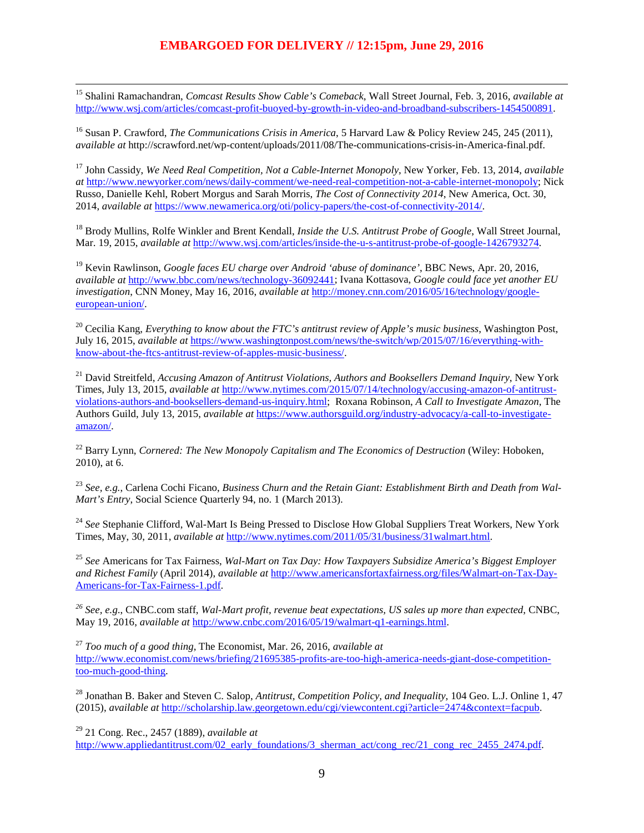<span id="page-8-5"></span> 15 Shalini Ramachandran, *Comcast Results Show Cable's Comeback*, Wall Street Journal, Feb. 3, 2016, *available at* [http://www.wsj.com/articles/comcast-profit-buoyed-by-growth-in-video-and-broadband-subscribers-1454500891.](http://www.wsj.com/articles/comcast-profit-buoyed-by-growth-in-video-and-broadband-subscribers-1454500891)

<span id="page-8-6"></span><sup>16</sup> Susan P. Crawford, *The Communications Crisis in America*, 5 Harvard Law & Policy Review 245, 245 (2011), *available at* http://scrawford.net/wp-content/uploads/2011/08/The-communications-crisis-in-America-final.pdf.

<span id="page-8-7"></span><sup>17</sup> John Cassidy, *We Need Real Competition, Not a Cable-Internet Monopoly*, New Yorker, Feb. 13, 2014, *available at* [http://www.newyorker.com/news/daily-comment/we-need-real-competition-not-a-cable-internet-monopoly;](http://www.newyorker.com/news/daily-comment/we-need-real-competition-not-a-cable-internet-monopoly) Nick Russo, Danielle Kehl, Robert Morgus and Sarah Morris, *The Cost of Connectivity 2014*, New America, Oct. 30, 2014, *available at* [https://www.newamerica.org/oti/policy-papers/the-cost-of-connectivity-2014/.](https://www.newamerica.org/oti/policy-papers/the-cost-of-connectivity-2014/)

<span id="page-8-8"></span><sup>18</sup> Brody Mullins, Rolfe Winkler and Brent Kendall, *Inside the U.S. Antitrust Probe of Google*, Wall Street Journal, Mar. 19, 2015, *available at* [http://www.wsj.com/articles/inside-the-u-s-antitrust-probe-of-google-1426793274.](http://www.wsj.com/articles/inside-the-u-s-antitrust-probe-of-google-1426793274)

<span id="page-8-9"></span><sup>19</sup> Kevin Rawlinson, *Google faces EU charge over Android 'abuse of dominance'*, BBC News, Apr. 20, 2016, *available at* [http://www.bbc.com/news/technology-36092441;](http://www.bbc.com/news/technology-36092441) Ivana Kottasova, *Google could face yet another EU investigation*, CNN Money, May 16, 2016, *available at* [http://money.cnn.com/2016/05/16/technology/google](http://money.cnn.com/2016/05/16/technology/google-european-union/)[european-union/.](http://money.cnn.com/2016/05/16/technology/google-european-union/) 

<sup>20</sup> Cecilia Kang, *Everything to know about the FTC's antitrust review of Apple's music business*, Washington Post, July 16, 2015, *available at* [https://www.washingtonpost.com/news/the-switch/wp/2015/07/16/everything-with](https://www.washingtonpost.com/news/the-switch/wp/2015/07/16/everything-with-know-about-the-ftcs-antitrust-review-of-apples-music-business/)[know-about-the-ftcs-antitrust-review-of-apples-music-business/.](https://www.washingtonpost.com/news/the-switch/wp/2015/07/16/everything-with-know-about-the-ftcs-antitrust-review-of-apples-music-business/) 

<sup>21</sup> David Streitfeld, *Accusing Amazon of Antitrust Violations, Authors and Booksellers Demand Inquiry*, New York Times, July 13, 2015, *available at* [http://www.nytimes.com/2015/07/14/technology/accusing-amazon-of-antitrust](http://www.nytimes.com/2015/07/14/technology/accusing-amazon-of-antitrust-violations-authors-and-booksellers-demand-us-inquiry.html)[violations-authors-and-booksellers-demand-us-inquiry.html;](http://www.nytimes.com/2015/07/14/technology/accusing-amazon-of-antitrust-violations-authors-and-booksellers-demand-us-inquiry.html) Roxana Robinson, *A Call to Investigate Amazon*, The Authors Guild, July 13, 2015, *available at* [https://www.authorsguild.org/industry-advocacy/a-call-to-investigate](https://www.authorsguild.org/industry-advocacy/a-call-to-investigate-amazon/)[amazon/.](https://www.authorsguild.org/industry-advocacy/a-call-to-investigate-amazon/)

<sup>22</sup> Barry Lynn, *Cornered: The New Monopoly Capitalism and The Economics of Destruction* (Wiley: Hoboken, 2010), at 6.

<sup>23</sup> *See, e.g.*, Carlena Cochi Ficano, *Business Churn and the Retain Giant: Establishment Birth and Death from Wal-Mart's Entry*, Social Science Quarterly 94, no. 1 (March 2013).

<sup>24</sup> See Stephanie Clifford, Wal-Mart Is Being Pressed to Disclose How Global Suppliers Treat Workers, New York Times, May, 30, 2011, *available at* [http://www.nytimes.com/2011/05/31/business/31walmart.html.](http://www.nytimes.com/2011/05/31/business/31walmart.html)

<span id="page-8-0"></span><sup>25</sup> *See* Americans for Tax Fairness, *Wal-Mart on Tax Day: How Taxpayers Subsidize America's Biggest Employer and Richest Family* (April 2014), *available at* [http://www.americansfortaxfairness.org/files/Walmart-on-Tax-Day-](http://www.americansfortaxfairness.org/files/Walmart-on-Tax-Day-Americans-for-Tax-Fairness-1.pdf)[Americans-for-Tax-Fairness-1.pdf.](http://www.americansfortaxfairness.org/files/Walmart-on-Tax-Day-Americans-for-Tax-Fairness-1.pdf)

<span id="page-8-1"></span>*<sup>26</sup> See, e.g*., CNBC.com staff, *Wal-Mart profit, revenue beat expectations, US sales up more than expected*, CNBC, May 19, 2016, *available at* [http://www.cnbc.com/2016/05/19/walmart-q1-earnings.html.](http://www.cnbc.com/2016/05/19/walmart-q1-earnings.html)

<span id="page-8-2"></span><sup>27</sup> *Too much of a good thing*, The Economist, Mar. 26, 2016, *available at* [http://www.economist.com/news/briefing/21695385-profits-are-too-high-america-needs-giant-dose-competition](http://www.economist.com/news/briefing/21695385-profits-are-too-high-america-needs-giant-dose-competition-too-much-good-thing)[too-much-good-thing.](http://www.economist.com/news/briefing/21695385-profits-are-too-high-america-needs-giant-dose-competition-too-much-good-thing) 

<span id="page-8-3"></span><sup>28</sup> Jonathan B. Baker and Steven C. Salop, *Antitrust, Competition Policy, and Inequality*, 104 Geo. L.J. Online 1, 47 (2015), *available at* [http://scholarship.law.georgetown.edu/cgi/viewcontent.cgi?article=2474&context=facpub.](http://scholarship.law.georgetown.edu/cgi/viewcontent.cgi?article=2474&context=facpub)

<span id="page-8-4"></span><sup>29</sup> 21 Cong. Rec., 2457 (1889), *available at* [http://www.appliedantitrust.com/02\\_early\\_foundations/3\\_sherman\\_act/cong\\_rec/21\\_cong\\_rec\\_2455\\_2474.pdf.](http://www.appliedantitrust.com/02_early_foundations/3_sherman_act/cong_rec/21_cong_rec_2455_2474.pdf)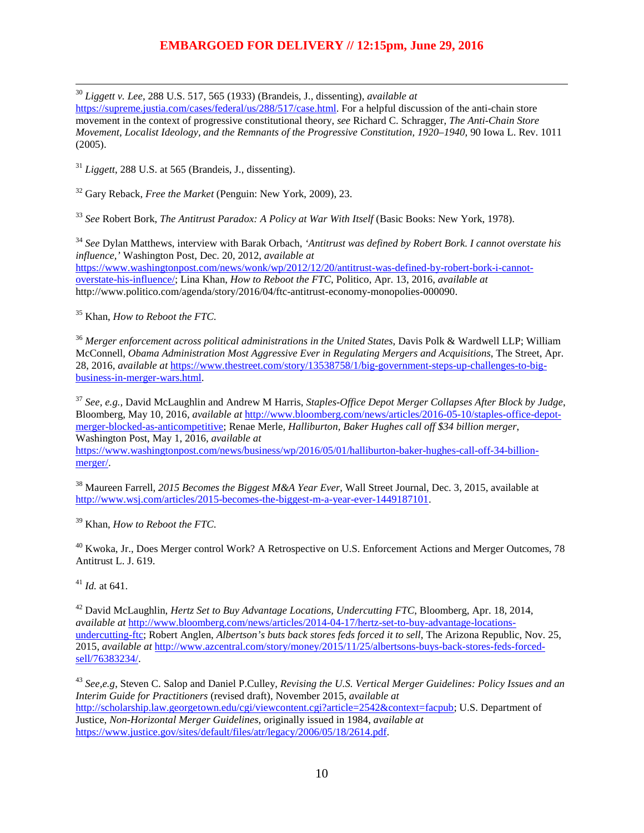30 *Liggett v. Lee*, 288 U.S. 517, 565 (1933) (Brandeis, J., dissenting), *available at*

[https://supreme.justia.com/cases/federal/us/288/517/case.html.](https://supreme.justia.com/cases/federal/us/288/517/case.html) For a helpful discussion of the anti-chain store movement in the context of progressive constitutional theory, *see* Richard C. Schragger, *The Anti-Chain Store Movement, Localist Ideology, and the Remnants of the Progressive Constitution, 1920–1940*, 90 Iowa L. Rev. 1011 (2005).

<sup>31</sup> *Liggett*, 288 U.S. at 565 (Brandeis, J., dissenting).

<sup>32</sup> Gary Reback, *Free the Market* (Penguin: New York, 2009), 23.

<sup>33</sup> See Robert Bork, *The Antitrust Paradox: A Policy at War With Itself* (Basic Books: New York, 1978).

<sup>34</sup> *See* Dylan Matthews, interview with Barak Orbach, *'Antitrust was defined by Robert Bork. I cannot overstate his influence,'* Washington Post, Dec. 20, 2012, *available at* [https://www.washingtonpost.com/news/wonk/wp/2012/12/20/antitrust-was-defined-by-robert-bork-i-cannot](https://www.washingtonpost.com/news/wonk/wp/2012/12/20/antitrust-was-defined-by-robert-bork-i-cannot-overstate-his-influence/)[overstate-his-influence/;](https://www.washingtonpost.com/news/wonk/wp/2012/12/20/antitrust-was-defined-by-robert-bork-i-cannot-overstate-his-influence/) Lina Khan, *How to Reboot the FTC*, Politico, Apr. 13, 2016, *available at*  http://www.politico.com/agenda/story/2016/04/ftc-antitrust-economy-monopolies-000090.

<sup>35</sup> Khan, *How to Reboot the FTC*.

<span id="page-9-0"></span><sup>36</sup> *Merger enforcement across political administrations in the United States*, Davis Polk & Wardwell LLP; William McConnell, *Obama Administration Most Aggressive Ever in Regulating Mergers and Acquisitions*, The Street, Apr. 28, 2016, *available at* [https://www.thestreet.com/story/13538758/1/big-government-steps-up-challenges-to-big](https://www.thestreet.com/story/13538758/1/big-government-steps-up-challenges-to-big-business-in-merger-wars.html)[business-in-merger-wars.html.](https://www.thestreet.com/story/13538758/1/big-government-steps-up-challenges-to-big-business-in-merger-wars.html)

<span id="page-9-1"></span><sup>37</sup> *See, e.g.,* David McLaughlin and Andrew M Harris, *Staples-Office Depot Merger Collapses After Block by Judge*, Bloomberg, May 10, 2016, *available at* [http://www.bloomberg.com/news/articles/2016-05-10/staples-office-depot](http://www.bloomberg.com/news/articles/2016-05-10/staples-office-depot-merger-blocked-as-anticompetitive)[merger-blocked-as-anticompetitive;](http://www.bloomberg.com/news/articles/2016-05-10/staples-office-depot-merger-blocked-as-anticompetitive) Renae Merle*, Halliburton, Baker Hughes call off \$34 billion merger*, Washington Post, May 1, 2016, *available at*

<span id="page-9-2"></span>[https://www.washingtonpost.com/news/business/wp/2016/05/01/halliburton-baker-hughes-call-off-34-billion](https://www.washingtonpost.com/news/business/wp/2016/05/01/halliburton-baker-hughes-call-off-34-billion-merger/)[merger/.](https://www.washingtonpost.com/news/business/wp/2016/05/01/halliburton-baker-hughes-call-off-34-billion-merger/)

<span id="page-9-3"></span><sup>38</sup> Maureen Farrell, *2015 Becomes the Biggest M&A Year Ever*, Wall Street Journal, Dec. 3, 2015, available at [http://www.wsj.com/articles/2015-becomes-the-biggest-m-a-year-ever-1449187101.](http://www.wsj.com/articles/2015-becomes-the-biggest-m-a-year-ever-1449187101)

<span id="page-9-4"></span><sup>39</sup> Khan, *How to Reboot the FTC*.

<span id="page-9-5"></span> $^{40}$  Kwoka, Jr., Does Merger control Work? A Retrospective on U.S. Enforcement Actions and Merger Outcomes, 78 Antitrust L. J. 619.

<sup>41</sup> *Id.* at 641.

<span id="page-9-6"></span><sup>42</sup> David McLaughlin, *Hertz Set to Buy Advantage Locations, Undercutting FTC*, Bloomberg, Apr. 18, 2014, *available at* [http://www.bloomberg.com/news/articles/2014-04-17/hertz-set-to-buy-advantage-locations](http://www.bloomberg.com/news/articles/2014-04-17/hertz-set-to-buy-advantage-locations-undercutting-ftc)[undercutting-ftc;](http://www.bloomberg.com/news/articles/2014-04-17/hertz-set-to-buy-advantage-locations-undercutting-ftc) Robert Anglen, *Albertson's buts back stores feds forced it to sell*, The Arizona Republic, Nov. 25, 2015, *available at* [http://www.azcentral.com/story/money/2015/11/25/albertsons-buys-back-stores-feds-forced](http://www.azcentral.com/story/money/2015/11/25/albertsons-buys-back-stores-feds-forced-sell/76383234/)[sell/76383234/.](http://www.azcentral.com/story/money/2015/11/25/albertsons-buys-back-stores-feds-forced-sell/76383234/)

<sup>43</sup> *See,e.g*, Steven C. Salop and Daniel P.Culley, *Revising the U.S. Vertical Merger Guidelines: Policy Issues and an Interim Guide for Practitioners* (revised draft), November 2015, *available at* [http://scholarship.law.georgetown.edu/cgi/viewcontent.cgi?article=2542&context=facpub;](http://scholarship.law.georgetown.edu/cgi/viewcontent.cgi?article=2542&context=facpub) U.S. Department of Justice, *Non-Horizontal Merger Guidelines*, originally issued in 1984, *available at* [https://www.justice.gov/sites/default/files/atr/legacy/2006/05/18/2614.pdf.](https://www.justice.gov/sites/default/files/atr/legacy/2006/05/18/2614.pdf)